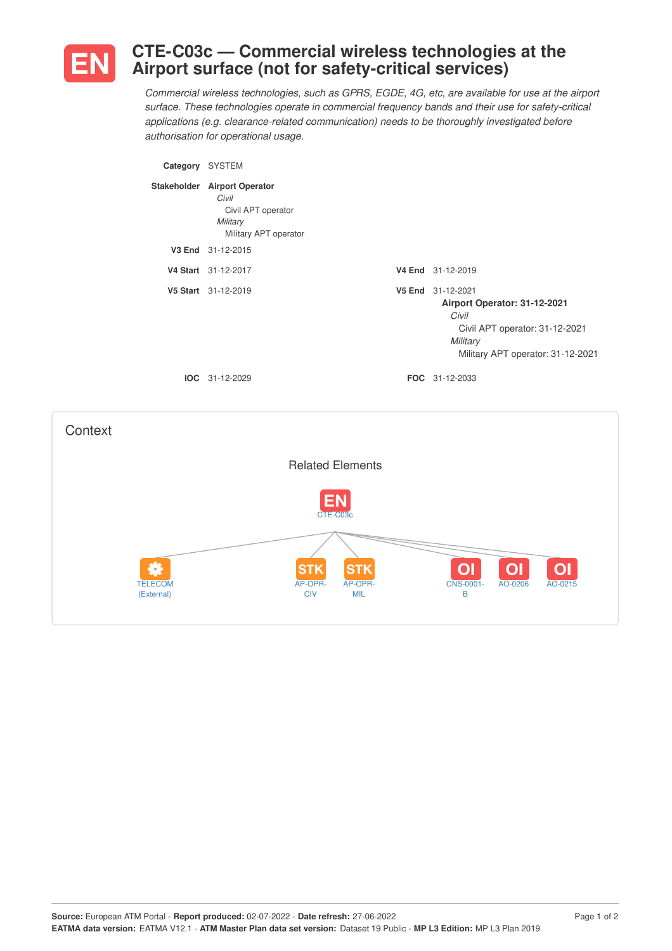

## **CTE-C03c — Commercial wireless technologies at the Airport surface (not for safety-critical services)**

*Commercial wireless technologies, such as GPRS, EGDE, 4G, etc, are available for use at the airport surface. These technologies operate in commercial frequency bands and their use for safety-critical applications (e.g. clearance-related communication) needs to be thoroughly investigated before authorisation for operational usage.*

| Category | <b>SYSTEM</b>                                                                                    |                                                                                                                                               |
|----------|--------------------------------------------------------------------------------------------------|-----------------------------------------------------------------------------------------------------------------------------------------------|
|          | Stakeholder Airport Operator<br>Civil<br>Civil APT operator<br>Military<br>Military APT operator |                                                                                                                                               |
| V3 End   | 31-12-2015                                                                                       |                                                                                                                                               |
|          | V4 Start 31-12-2017                                                                              | V4 End 31-12-2019                                                                                                                             |
|          | V5 Start 31-12-2019                                                                              | V5 End 31-12-2021<br>Airport Operator: 31-12-2021<br>Civil<br>Civil APT operator: 31-12-2021<br>Military<br>Military APT operator: 31-12-2021 |
|          | $IOC 31-12-2029$                                                                                 | <b>FOC</b> 31-12-2033                                                                                                                         |